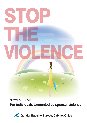

[ FY2008 Revised Edition ]

**For individuals tormented by spousal violence**

Gender Equality Bureau, Cabinet Office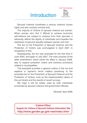# Introduction



Spousal violence constitutes a serious violence human rights and also involves criminal acts.

The majority of Victims of spousal violence are women. When women who find it difficult to achieve economic self-reliance are subject to violence from their spouses, it adversely affects the dignity of individuals and impedes the realization of genuine equality between women and men.

The Act on the Prevention of Spousal Violence and the Protection of Victims was promulgated in April 2001 in recognition of this.

Subsequently, the Act was amended for the first time in June 2004, and again in July 2007. The main purpose of the latter amendment, which came into effect in January 2008, was to expand protection orders and reinforce provisions related to municipalities.

This pamphlet provides a general outline of the act and explains in layman's terms matters pertaining to the amended Act on the Prevention of Spousal Violence and the Protection of Victims, such as the implementation status of this act hereto and the results of recent surveys.

We hope it will be widely used by both individuals tormented by spousal violence and government officials.

Revised: April 2008

**(Cabinet Office) Support for Victims of Spousal Violence Information Site http://www.gender.go.jp/e-vaw/index.html**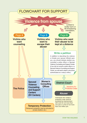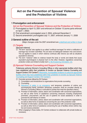## **Act on the Prevention of Spousal Violence and the Protection of Victims**

#### **1 Promulgation and enforcement**

**Act on the Prevention of Spousal Violence and the Protection of Victims**

- ٤ Promulgated on April 13, 2001 and enforced on October 13 (some parts enforced on April 1, 2002)
- ٤ First amendment: promulgated June 2, 2004, enforced December 2
- ٤ Second amendment: promulgated July 11, 2007, enforced January 11, 2008

#### **2 General outline of the act**

(Major changes under the 2007 amendment are underlined and written in blue)

#### **(1) Targets**

[Spousal violence]

- O The term "spouse" also applies to so called "unofficial marriages" for which a notification of marriage has not been submitted. The act does not distinguish between men and women. The act applies to cases in which violence continues after divorce (as well as situations equivalent to divorce).
- O The term "violence" refers to violence toward the body or words and deeds that cause equivalent psychological or physical harm to the other. However, regulations concerning protection orders are limited to bodily harm or life-threatening intimidation, etc.

#### **(2) Spousal Violence Counseling and Support Centers**

Prefectures authorize Women's Consulting Offices or other appropriate facilities which they have established within their jurisdiction to function as Spousal Violence Counseling and Support Centers ("SV Centers"). Meanwhile, municipalities endeavor to authorize appropriate facilities which they have established within their jurisdiction to function as Spousal Violence Counseling and Support Centers ("SV Centers").

- O Concrete services offered by SV Centers:
	- 1) Consultation and introductions to organizations that provide counseling
	- 2) Counseling
	- 3) Assurance of safety in an emergency and temporary protection of victims and accompanying family members (temporary protection shall be provided directly by Women's Consulting Offices or entrusted to parties that meet the specified criteria.)
	- 4) Provision of information, advice, liaison and coordination with concerned organizations, as well as other forms of assistance concerning measures including employment promotion, procurement, and the use of systems for social assistance in order to promote the self-reliance of victims
	- 5) Provision of information, advice, liaison and coordination with concerned organizations, as well as other forms of assistance concerning the use of the protection order
	- 6) Provision of information, advice, liaison and coordination with concerned organizations, as well as other forms of assistance concerning the use of facilities where victims may live and receive protection
- O When engaging in these duties, SV Centers endeavor to collaborate with private bodies as necessary.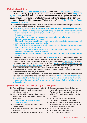#### **(3) Protection Orders**

In cases where a victim who has been subjected to bodily harm or life-threatening intimidation, etc., by a spouse is highly likely to receive serious harm on his/her life or body due to bodily harm by the spouse, the court shall, upon petition from the victim, issue a protection order to the abuser (including individuals in unofficial marriages and former spouses). Protection orders comprise "Orders Prohibiting Approach", "Orders to Vacate" and "Orders Prohibiting Phone Calls or Other Behavior".

- O Order Prohibiting Approach to the Victim  $\Rightarrow$  Prohibits the abuser from approaching the victim for a period of six months. Petitions can be filed repeatedly.
- O Order Prohibiting Phone Calls or Other Behavior (Only covers the victim) Upon petition from the victim, the abuser is prohibited from engaging in any of the following acts towards the victim, in order to prevent harm to the life or body of the victim, in conjunction with an Order Prohibiting Approach to the Victim.
	- 1) Requesting a meeting
	- 2) Telling matters that suggest that the spouse is monitoring the victim's behaviors
	- 3) Extremely rude or violent words or deeds
	- 4) Phone calls without saying anything, or repeated phone calls, facsimile transmissions or e-mail messages (except in cases of urgent necessity)
	- 5) Phone calls, facsimile transmissions or e-mail messages at night (between 10 p.m. and 6 a.m.) (except in cases of urgent necessity)
	- 6) Sending filthy materials, animal carcasses or other extremely disgusting or repulsive materials
	- 7) Revealing matters that harm the victim's dignity
	- 8) Revealing sexually insulting materials, or sending documents, pictures or other sexually insulting materials
- O Order Prohibiting Approach to the Victim's Child or Relative, etc.  $\Rightarrow$  In cases where the issue of an Order Prohibiting Approach to the Victim is required, when deemed necessary in order to prevent the victim from being obliged to meet the abuser with regard to the children or relative, etc., the abuser is prohibited from approaching a minor living with the victim, the victim's relative or other person who has a close relationship in his/her social life, for a period of six months (limited to the period of validity of an Order Prohibiting Approach to the Victim). Petitions can be filed repeatedly.
- O Order to Vacate  $\Rightarrow$  Requires the abuser to vacate the victim's home for a period of two months. Petitions can be filed repeatedly in some cases. Persons who have violated a Protection Order shall be punished by imprisonment with work for not more than one year or a fine of not more than one million yen. When a Protection Order has been issued, notification to that effect is sent by the court, together with the details of the Order, to the

police with jurisdiction over the victim's address and to the SV Center initially consulted or otherwise notified by the victim.

#### **(4) Formulation etc. of a basic policy and basic plans**

- $\circ$  Responsibilities of the national government and  $\circ$  Cooperation between the prefectural and local public entities, including support for the self-reliance of victims
- $O$  A basic policy will be formulated by competent Ministers and basic plans will be formulated by prefectures
- O Obligation for efforts by municipalities to formulate basic plans
- O Notification, etc. by those who detect cases of spousal violence
- O Assistance by the chief of the Prefectural Police Headquarters, etc.
- O Support for self-reliance by Welfare Offices
- municipal organizations concerned, such as SV Centers, the Prefectural Police and Welfare Offices with regard to the protection of victims
- O Appropriate and prompt processing of complaints by concerned organizations
- $O$  Training for related officials (including training in respect for human rights regardless of the victims' nationalities and disabilities)
- O Education and enlightenment
- O Promotion of research and study
- O Assistance to private bodies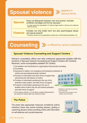# **Spousal violence >>>>>>>>>>>>>** forr

## **Spouse**

Does not distinguish between men and women. Includes unofficial marriages and former spouses\*.

\* In cases where the perpetration of violence began before a divorce and continued after the divorce.

Includes not only bodily harm but also psychological abuse

## **Violence**

\* Protection orders are only applicable to bodily harm or life threating intimidation, etc. and sexual assault\*.



### **Spousal Violence Counseling and Support Centers**

Women's consultation offices and other prefectural appropriate facilities fulfill the functions of Spousal Violence Counseling and Support Centers (SV Centers). Moreover, some municipalities establish SV Centers.

- 1) Consultation and introductions to organizations that provide counseling
- 2) Counseling
- 3) Assurance of safety in an emergency and temporary protection of victims and accompanying family members
- 4) Provision of information and other forms of support that will promote the self-reliance of victims
- 5) Provision of information pertaining to the use of the protection order system, and other forms of support
- 6) Provision of information pertaining to the use of facilities where victims may live and receive protection, and other forms of support
- \* Of the support outlined in 1) to 6) above, projects implemented by the various SV Centers differ from Center to Center.



various forms.

Established in 180 locations nationwide ( As of April 2008 ) \* Please refer to the last page for each facilities' contact information.

#### **The Police**

The police take appropriate measures considering victims' intentions; these may involve arresting abusers, guiding or cautioning abusers and/or providing victims with information on self-defense and countermeasures.

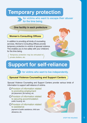# **Temporary protection**

for victims who want to escape their abuser for the time being.

### **One facility in each prefecture**

### **Women's Consulting Offices**

In addition to providing all kinds of counseling services, Women's Consulting Offices provide temporary protection to victims of spousal violence. This enables you to live safely with your child(ren) for the time being.



Temporary protection may be entrusted to ( ) private shelters, etc.

# **Support for self-reliance**



**for victims who want to live independently.** 

## **Spousal Violence Counseling and Support Centers**

Spousal Violence Counseling and Support Centers provide various kinds of information to support self-reliance of victims.

- O Provision of information related to promoting employment job placement, job training, etc.
- O Provision of information related to securing accommodation public housing, etc.

#### O Provision of information related to assistance

 payment of public assistance, child care allowance, etc.

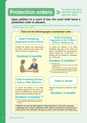# **Protection orders**



for victims who don't want their abuser to approach them.

### **Upon petition to a court of law, the court shall issue a protection order to abusers.**

\* In cases where there is a grave risk of renewed spousal violence against a victim constituting a significant harm to life or body.

### **There are the following types of protection order.**

## **Order Prohibiting Approach to the Victim**

Prohibits the abuser from approaching the victim or loitering in the vicinity of the victim's domicile or workplace, etc.

## **Duration: 6 months**



### **Order Prohibiting Phone Calls or Other Behavior**

To ensure the efficacy of an Order Prohibiting Approach to the Victim, the abuser is prohibited from making certain contact by phone, sending e-mails, etc.

## **Duration: 6 months (\*3)**

(\*3) This order covers the victim only, and is limited to the period of validity of an Order Prohibiting Approach to the Victim.

#### **Order Prohibiting Approach to the Victim's Child or Relative, etc.**

To ensure the efficacy of an Order Prohibiting Approach to the Victim, the abuser is prohibited from approaching a child or relative, etc., of the victim(\*1), or loitering near the domicile or workplace, etc., of the same.

## **Duration: 6 months (\*2)**

(\*1) This order covers:

- 1. Underage children of the victim (minors) who cohabit with the victim.
- 2. Family members of the victim or other persons who

have a close relationship with the victim in social life. (\*2) The order is limited to the period of validity of an Order

Prohibiting Approach to the Victim.

## **Order to Vacate**

Requires the abuser to vacate the victim's home.

**Duration: 2 months**

**Petitions can also be filed against unmarried partners and former spouses. Individuals who violate a protection order shall be punished by imprisonment with work for not more than one year or a fine of not more than one million yen.**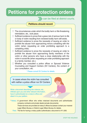# **Petitions for protection orders**

**W** can be filed at district courts.

#### **Petitions should record**

- $\circlearrowright$  The circumstances under which the bodily harm or life-threatening intimidation, etc., took place.
- $\circlearrowright$  Sufficient evidence to prove that a grave risk of serious harm to life or body of victim resulting from renewed bodily harm still exists.
- $\circlearrowright$  Sufficient evidence to prove the necessity of issuing an order to prohibit the abuser from approaching minors cohabiting with the victim (when requesting an order prohibiting approach to a cohabiting child).
- $\circlearrowright$  Sufficient evidence to prove the necessity of issuing an order to prohibit the abuser from approaching family members of the victim or other persons who have a close relationship with the victim in social life (when requesting an order prohibiting approach to a family member, etc.).
- $\circlearrowright$  Whether you consulted a police officer or Spousal Violence Counseling and Support Centers (SV Centers), the content of your consultation, etc.

\* Please consult SV Centers for details.

In cases where the victim has consulted with neither a police officer nor SV Centers

Write a document describing the violence, etc., inflicted upon you and other relevant information, have it authenticated at a notary's office and attach it to your petition.

- \* Notary: A government officer who writes notarized documents and authenticates company contracts and private deeds (private documents). These services are provided at notary's offices but please contact your nearest Legal Affairs Bureau or District Legal Affairs Bureau for details.
	- Fees: The fee for having a notary public authenticate a document is ¥11,000.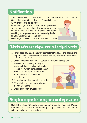## **Notification**

Those who detect spousal violence shall endeavor to notify the fact to Spousal Violence Counseling and Support Centers

(SV Centers) or a police officer.

Moreover, physicians and other medical personnel who detect a person whom they consider to have suffered from injuries or medical conditions resulting from spousal violence may notify the fact to a SV Center or a police officer.



(However, the wishes of the victims will be respected.)

## **Obligations of the national government and local public entities**

- $\circ$  Formulation of a basic policy by competent Ministers<sup>\*</sup> and basic plans by prefectures \* The Prime Minister, the National Public Safety Commission, the Minister of Justice and the Minister of Health, Labour and Welfare
- $\circ$  Obligation for efforts by municipalities to formulate basic plans
- O Provision of necessary training for related officials (including training in respect for human rights regardless of victims' nationality or disability, etc.)
- $\bigcirc$  Efforts towards education and enlightenment
- $\circ$  Efforts to promote research and study
- $\circlearrowright$  Efforts to foster personnel and enhance their qualifications
- $\bigcirc$  Efforts to support private bodies



## **Strengthen cooperation among concerned organizations**

Spousal Violence Counseling and Support Centers, Prefectural Police and concerned prefectural and municipal organizations shall cooperate with each other to protect victims.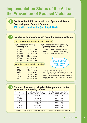## **Implementation Status of the Act on the Prevention of Spousal Violence**

### **Facilities that fulfill the functions of Spousal Violence Counseling and Support Centers 180 locations nationwide (as of April 2008)**



#### **Number of women provided with temporary protection at women's consulting offices**

|        | Girls requiring protection<br>accompanying family members) | Number of these cases due to<br>violence inflicted by a husband |
|--------|------------------------------------------------------------|-----------------------------------------------------------------|
| FY2001 | 4,823 (3,085)                                              | 2,680 (55.5%)                                                   |
| FY2002 | 6,261 (4,642)                                              | 3,974(63.5%)                                                    |
| FY2003 | 6,447 (5,029)                                              | 4,296 (66.6%)                                                   |
| FY2004 | 6,541 (5,518)                                              | 4,535 (69.3%)                                                   |
| FY2005 | 6,449 (5,285)                                              | 4,438 (68.8%)                                                   |
| FY2006 | 6,359 (5,478)                                              | 4,565 (71.8%)                                                   |

\* 1 According to a Ministry of Health, Welfare and Labour survey. 2 Including entrusted temporary protection.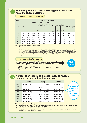

#### **Processing status of cases involving protection orders related to spousal violence**

#### **( 1 ) Number of cases processed, etc.**

| Category |                     | Number of Finished Cases            |       |                                                            |                                                                                                                              |                                                                 |                                                          |                                                                                  |                                                                                                              |                  |                    |
|----------|---------------------|-------------------------------------|-------|------------------------------------------------------------|------------------------------------------------------------------------------------------------------------------------------|-----------------------------------------------------------------|----------------------------------------------------------|----------------------------------------------------------------------------------|--------------------------------------------------------------------------------------------------------------|------------------|--------------------|
|          |                     | Approved (Protection Orders Issued) |       |                                                            |                                                                                                                              |                                                                 |                                                          |                                                                                  |                                                                                                              |                  |                    |
|          |                     |                                     |       | (1) Protection Orders Related to<br>the Victim Issued Only |                                                                                                                              | (2) Orders Prohibiting Approach<br>to the Victim's Child Issued |                                                          |                                                                                  |                                                                                                              |                  |                    |
| Year     | <b>New</b><br>Cases |                                     |       | (1)<br>Victim & Order to<br>Vacate                         | $\circled{2}$<br>Order Prohibiting   Order Prohibiting   Order to Vacate<br>Approach to the Approach to the<br><b>Victim</b> | (3)                                                             | (1)<br>an Order Prohibiting<br>Approach to the<br>Victim | 2.<br>Eviction Order and   Order Prohibiting<br>Approach to the<br><b>Victim</b> | (3)<br>Accompanying an Accompanying an Subsequent Orders<br>Prohibiting<br>Approach to the<br>Victim's Child | <b>Dismissed</b> | Withdrawn,<br>Etc. |
| 2002     | 1,426               | 1,398                               | 1.128 | 326                                                        | 798                                                                                                                          | 4                                                               |                                                          |                                                                                  |                                                                                                              | 64               | 206                |
| 2003     | 1.825               | 1.822                               | 1.468 | 406                                                        | 1.058                                                                                                                        | 4                                                               |                                                          |                                                                                  |                                                                                                              | 81               | 273                |
| 2004     | 2,179               | 2,133                               | 1.717 | 554                                                        | 1,098                                                                                                                        | 5                                                               | 17                                                       | 38                                                                               | 5                                                                                                            | 75               | 341                |
| 2005     | 2,695               | 2,718                               | 2.141 | 190                                                        | 730                                                                                                                          | 4                                                               | 322                                                      | 883                                                                              | 12                                                                                                           | 147              | 430                |
| 2006     | 2.759               | 2,769                               | 2,208 | 166                                                        | 710                                                                                                                          | 8                                                               | 346                                                      | 974                                                                              | 4                                                                                                            | 146              | 415                |
| 2007     | 2,779               | 2,757                               | 2,186 | 173                                                        | 640                                                                                                                          | 7                                                               | 371                                                      | 993                                                                              | 2                                                                                                            | 140              | 431                |

Note: 1 "Approved" includes cases that were partially approved.

2 "Dismissed" includes cases that were partially dismissed and partially withdrawn.

3 "Withdrawn, etc." includes cases that were transferred, forwarded, etc.

4 2004 figures for "(2) Orders Prohibiting Approach to the Victim's Child" show the number of cases processed between December 2nd, 2004 (the date when the Amended Act on the Prevention of Spousal Violence and the Protection of Victims came into effect) and the end of that year.

5 "(2) Orders Prohibiting Approach to the Victim's Child" are issued at the same time as, or after the issue of Orders Prohibiting Approach to the Victim.

6 "(2) ③ Subsequent Orders Prohibiting Approach to the Victim's Child" are cases in which an Order Prohibiting Approach to the Victim has already been issued (including cases when this is accompanied by an Eviction Order) and an Order Prohibiting Approach to the Victim's Child is subsequently issued on the premise of the Order Prohibiting Approach to the Victim.

#### **( 2 ) Average length of proceedings**

**Average length of proceedings for cases in which protection orders were approved ( October 2001 - December 2007 )**



2 Figures up to March 2006 are based on reports from each court and are approximate.

3 Figures for 2007 are based on initial reports.



#### **Number of arrests made in cases involving murder, injury or violence inflicted by a spouse**

|      | <b>Murder</b>   | <b>Injury</b>       | <b>Violence</b> |
|------|-----------------|---------------------|-----------------|
| 2000 | 134/197 (68.0%) | 838/888 (94.4%)     | 124/127 (97.6%) |
| 2001 | 116/191 (60.7%) | 1,065/1,097(97.1%)  | 152/156 (97.4%) |
| 2002 | 120/197 (60.9%) | 1,197/1,250 (95.8%) | 211/219 (96.3%) |
| 2003 | 133/215 (61.9%) | 1,211/1,269 (95.4%) | 230/234 (98.3%) |
| 2004 | 127/206 (61.7%) | 1,143/1,198 (95.4%) | 284/290 (97.9%) |
| 2005 | 126/218 (57.8%) | 1,264/1,342 (94.2%) | 359/379 (94.7%) |
| 2006 | 117/179 (65.4%) | 1,294/1,353 (95.6%) | 671/707 (94.9%) |
| 2007 | 107/192 (55.7%) | 1,255/1,346 (93.2%) | 870/933 (93.2%) |



**12.4 days**

1 According to a National Police Agency survey.

 2 The denominator represents the total number of arrests; the numerator represents the number of these cases in which the husband was arrested ( expressed as a percentage ).

3 The term "spouse" includes individuals in common-law marriages.

 4 This table is based on crime statistics and lists murders, injuries and violence committed between spouses, irrespective of the motives or objectives behind the crime.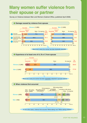## **Many women suffer violence from their spouse or partner**

Survey on Violence between Men and Women (Cabinet Office, published April 2006)

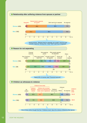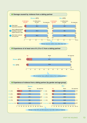